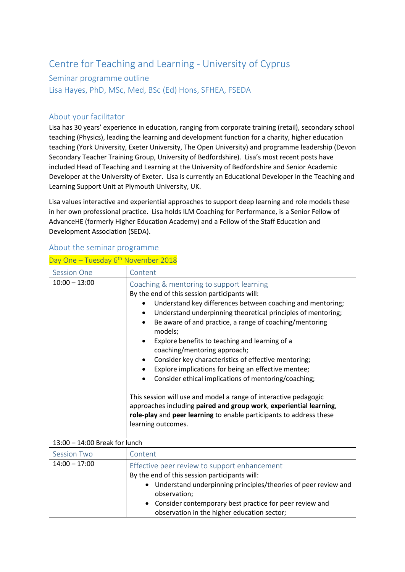## Centre for Teaching and Learning - University of Cyprus

## Seminar programme outline

Lisa Hayes, PhD, MSc, Med, BSc (Ed) Hons, SFHEA, FSEDA

## About your facilitator

Lisa has 30 years' experience in education, ranging from corporate training (retail), secondary school teaching (Physics), leading the learning and development function for a charity, higher education teaching (York University, Exeter University, The Open University) and programme leadership (Devon Secondary Teacher Training Group, University of Bedfordshire). Lisa's most recent posts have included Head of Teaching and Learning at the University of Bedfordshire and Senior Academic Developer at the University of Exeter. Lisa is currently an Educational Developer in the Teaching and Learning Support Unit at Plymouth University, UK.

Lisa values interactive and experiential approaches to support deep learning and role models these in her own professional practice. Lisa holds ILM Coaching for Performance, is a Senior Fellow of AdvanceHE (formerly Higher Education Academy) and a Fellow of the Staff Education and Development Association (SEDA).

## About the seminar programme

| Day One - Tuesday 6 <sup>th</sup> November 2018 |
|-------------------------------------------------|
|-------------------------------------------------|

| <b>Session One</b>            | Content                                                                                                                                                                                                                                                                                                                                                                                                                                                                                                                                                                                                                                                                                                                                                                                                                      |  |
|-------------------------------|------------------------------------------------------------------------------------------------------------------------------------------------------------------------------------------------------------------------------------------------------------------------------------------------------------------------------------------------------------------------------------------------------------------------------------------------------------------------------------------------------------------------------------------------------------------------------------------------------------------------------------------------------------------------------------------------------------------------------------------------------------------------------------------------------------------------------|--|
| $10:00 - 13:00$               | Coaching & mentoring to support learning<br>By the end of this session participants will:<br>Understand key differences between coaching and mentoring;<br>Understand underpinning theoretical principles of mentoring;<br>Be aware of and practice, a range of coaching/mentoring<br>models;<br>Explore benefits to teaching and learning of a<br>$\bullet$<br>coaching/mentoring approach;<br>Consider key characteristics of effective mentoring;<br>٠<br>Explore implications for being an effective mentee;<br>$\bullet$<br>Consider ethical implications of mentoring/coaching;<br>This session will use and model a range of interactive pedagogic<br>approaches including paired and group work, experiential learning,<br>role-play and peer learning to enable participants to address these<br>learning outcomes. |  |
| 13:00 - 14:00 Break for lunch |                                                                                                                                                                                                                                                                                                                                                                                                                                                                                                                                                                                                                                                                                                                                                                                                                              |  |
| <b>Session Two</b>            | Content                                                                                                                                                                                                                                                                                                                                                                                                                                                                                                                                                                                                                                                                                                                                                                                                                      |  |
| $14:00 - 17:00$               | Effective peer review to support enhancement<br>By the end of this session participants will:<br>Understand underpinning principles/theories of peer review and<br>observation;<br>Consider contemporary best practice for peer review and<br>observation in the higher education sector;                                                                                                                                                                                                                                                                                                                                                                                                                                                                                                                                    |  |